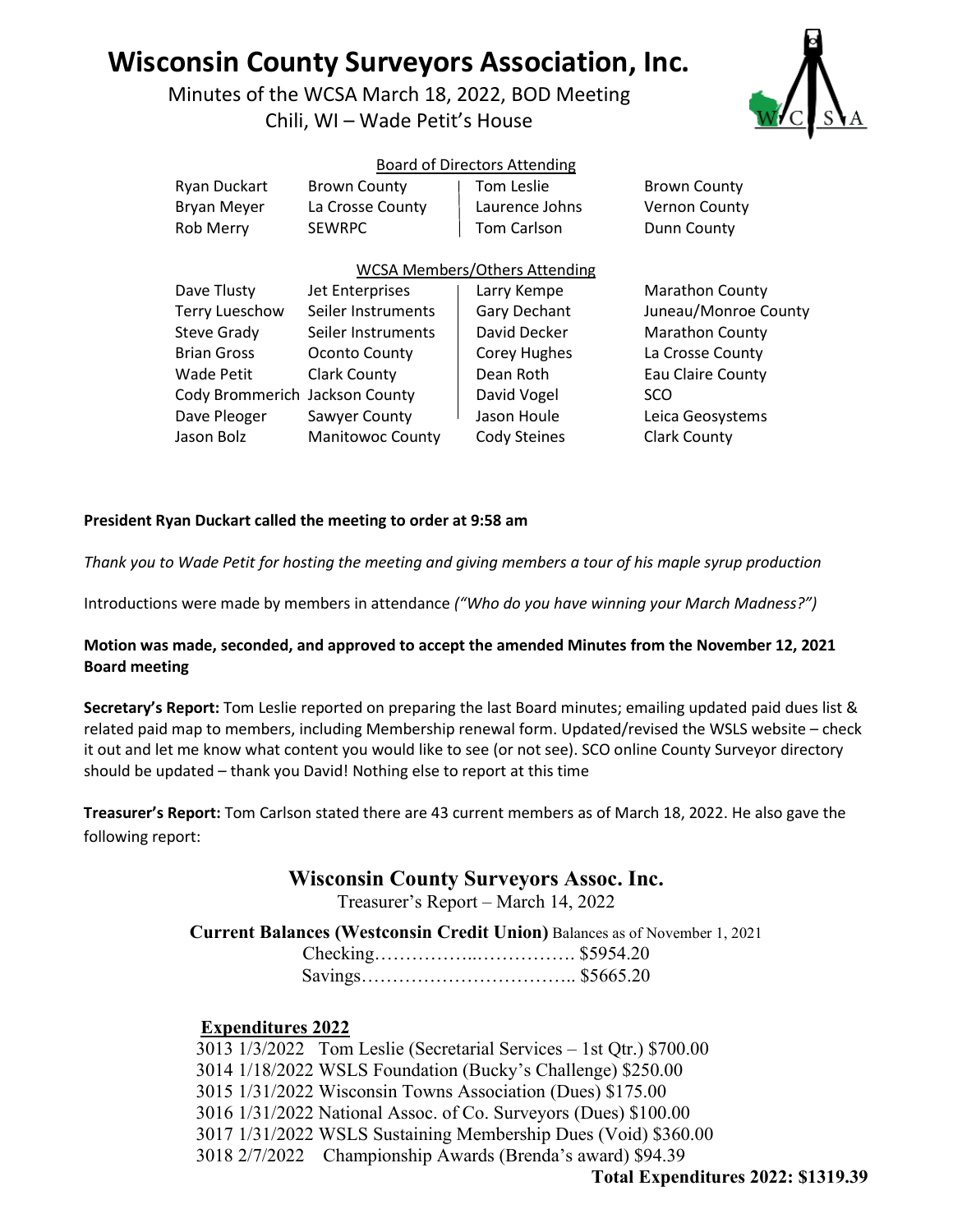# **Wisconsin County Surveyors Association, Inc.**

Minutes of the WCSA March 18, 2022, BOD Meeting Chili, WI – Wade Petit's House



#### Board of Directors Attending

| Ryan Duckart                   | <b>Brown County</b>     | Tom Leslie                           | <b>Brown County</b>    |
|--------------------------------|-------------------------|--------------------------------------|------------------------|
| <b>Bryan Meyer</b>             | La Crosse County        | Laurence Johns                       | Vernon County          |
| Rob Merry                      | <b>SEWRPC</b>           | <b>Tom Carlson</b>                   | Dunn County            |
|                                |                         | <b>WCSA Members/Others Attending</b> |                        |
| Dave Tlusty                    | Jet Enterprises         | Larry Kempe                          | <b>Marathon County</b> |
| <b>Terry Lueschow</b>          | Seiler Instruments      | Gary Dechant                         | Juneau/Monroe County   |
| Steve Grady                    | Seiler Instruments      | David Decker                         | <b>Marathon County</b> |
| <b>Brian Gross</b>             | Oconto County           | Corey Hughes                         | La Crosse County       |
| Wade Petit                     | <b>Clark County</b>     | Dean Roth                            | Eau Claire County      |
| Cody Brommerich Jackson County |                         | David Vogel                          | SCO                    |
| Dave Pleoger                   | Sawyer County           | Jason Houle                          | Leica Geosystems       |
| Jason Bolz                     | <b>Manitowoc County</b> | Cody Steines                         | <b>Clark County</b>    |

#### **President Ryan Duckart called the meeting to order at 9:58 am**

*Thank you to Wade Petit for hosting the meeting and giving members a tour of his maple syrup production* 

Introductions were made by members in attendance *("Who do you have winning your March Madness?")* 

#### **Motion was made, seconded, and approved to accept the amended Minutes from the November 12, 2021 Board meeting**

**Secretary's Report:** Tom Leslie reported on preparing the last Board minutes; emailing updated paid dues list & related paid map to members, including Membership renewal form. Updated/revised the WSLS website – check it out and let me know what content you would like to see (or not see). SCO online County Surveyor directory should be updated – thank you David! Nothing else to report at this time

**Treasurer's Report:** Tom Carlson stated there are 43 current members as of March 18, 2022. He also gave the following report:

# **Wisconsin County Surveyors Assoc. Inc.**

Treasurer's Report – March 14, 2022

**Current Balances (Westconsin Credit Union)** Balances as of November 1, 2021

### **Expenditures 2022**

3013 1/3/2022 Tom Leslie (Secretarial Services – 1st Qtr.) \$700.00 3014 1/18/2022 WSLS Foundation (Bucky's Challenge) \$250.00 3015 1/31/2022 Wisconsin Towns Association (Dues) \$175.00 3016 1/31/2022 National Assoc. of Co. Surveyors (Dues) \$100.00 3017 1/31/2022 WSLS Sustaining Membership Dues (Void) \$360.00 3018 2/7/2022 Championship Awards (Brenda's award) \$94.39

**Total Expenditures 2022: \$1319.39**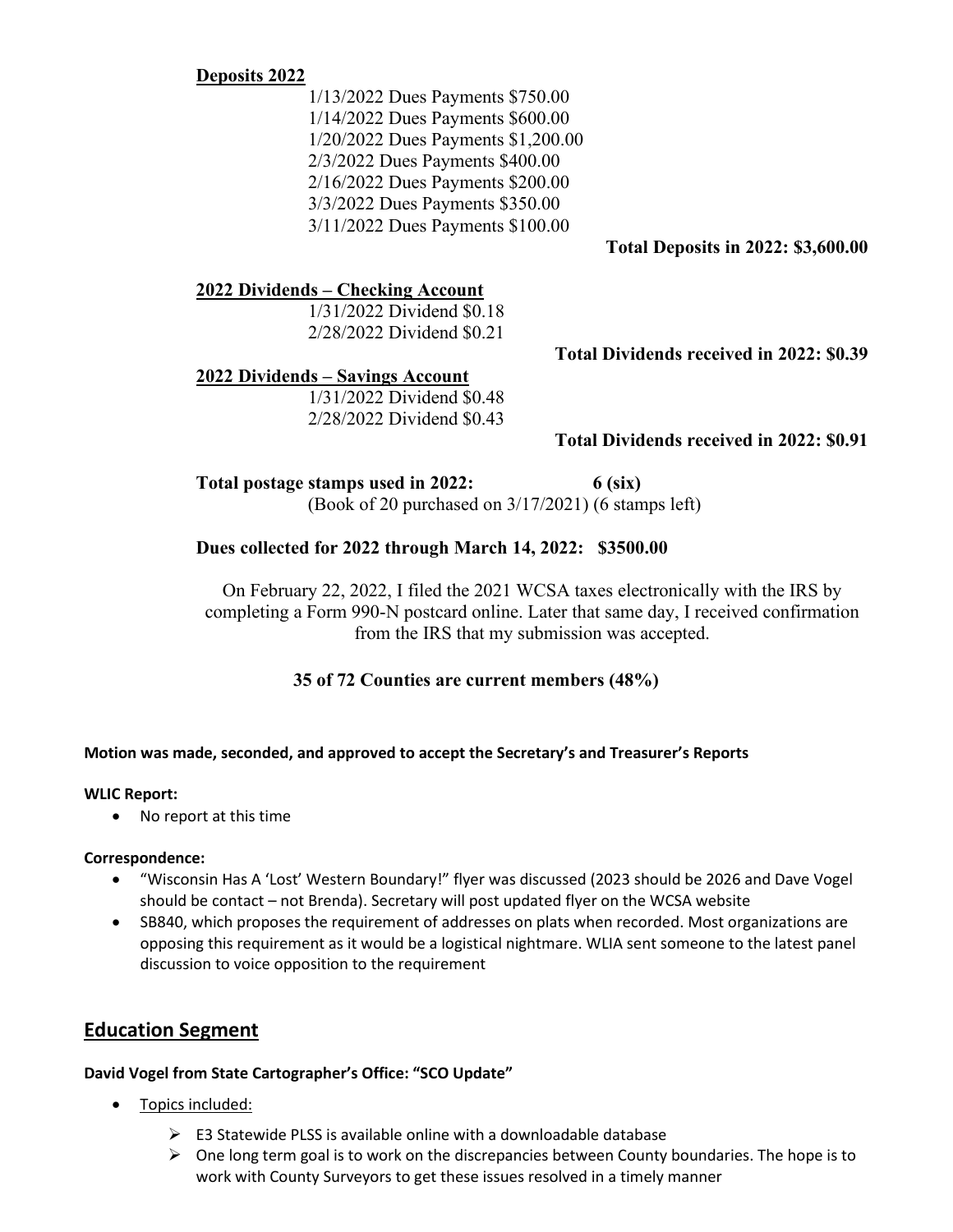## **Deposits 2022**

1/13/2022 Dues Payments \$750.00 1/14/2022 Dues Payments \$600.00 1/20/2022 Dues Payments \$1,200.00 2/3/2022 Dues Payments \$400.00 2/16/2022 Dues Payments \$200.00 3/3/2022 Dues Payments \$350.00 3/11/2022 Dues Payments \$100.00

**Total Deposits in 2022: \$3,600.00** 

## **2022 Dividends – Checking Account**

1/31/2022 Dividend \$0.18 2/28/2022 Dividend \$0.21

**Total Dividends received in 2022: \$0.39** 

## **2022 Dividends – Savings Account**

1/31/2022 Dividend \$0.48 2/28/2022 Dividend \$0.43

# **Total Dividends received in 2022: \$0.91**

**Total postage stamps used in 2022: 6 (six)**

(Book of 20 purchased on 3/17/2021) (6 stamps left)

## **Dues collected for 2022 through March 14, 2022: \$3500.00**

On February 22, 2022, I filed the 2021 WCSA taxes electronically with the IRS by completing a Form 990-N postcard online. Later that same day, I received confirmation from the IRS that my submission was accepted.

# **35 of 72 Counties are current members (48%)**

### **Motion was made, seconded, and approved to accept the Secretary's and Treasurer's Reports**

### **WLIC Report:**

• No report at this time

### **Correspondence:**

- "Wisconsin Has A 'Lost' Western Boundary!" flyer was discussed (2023 should be 2026 and Dave Vogel should be contact – not Brenda). Secretary will post updated flyer on the WCSA website
- SB840, which proposes the requirement of addresses on plats when recorded. Most organizations are opposing this requirement as it would be a logistical nightmare. WLIA sent someone to the latest panel discussion to voice opposition to the requirement

# **Education Segment**

### **David Vogel from State Cartographer's Office: "SCO Update"**

- Topics included:
	- $\triangleright$  E3 Statewide PLSS is available online with a downloadable database
	- $\triangleright$  One long term goal is to work on the discrepancies between County boundaries. The hope is to work with County Surveyors to get these issues resolved in a timely manner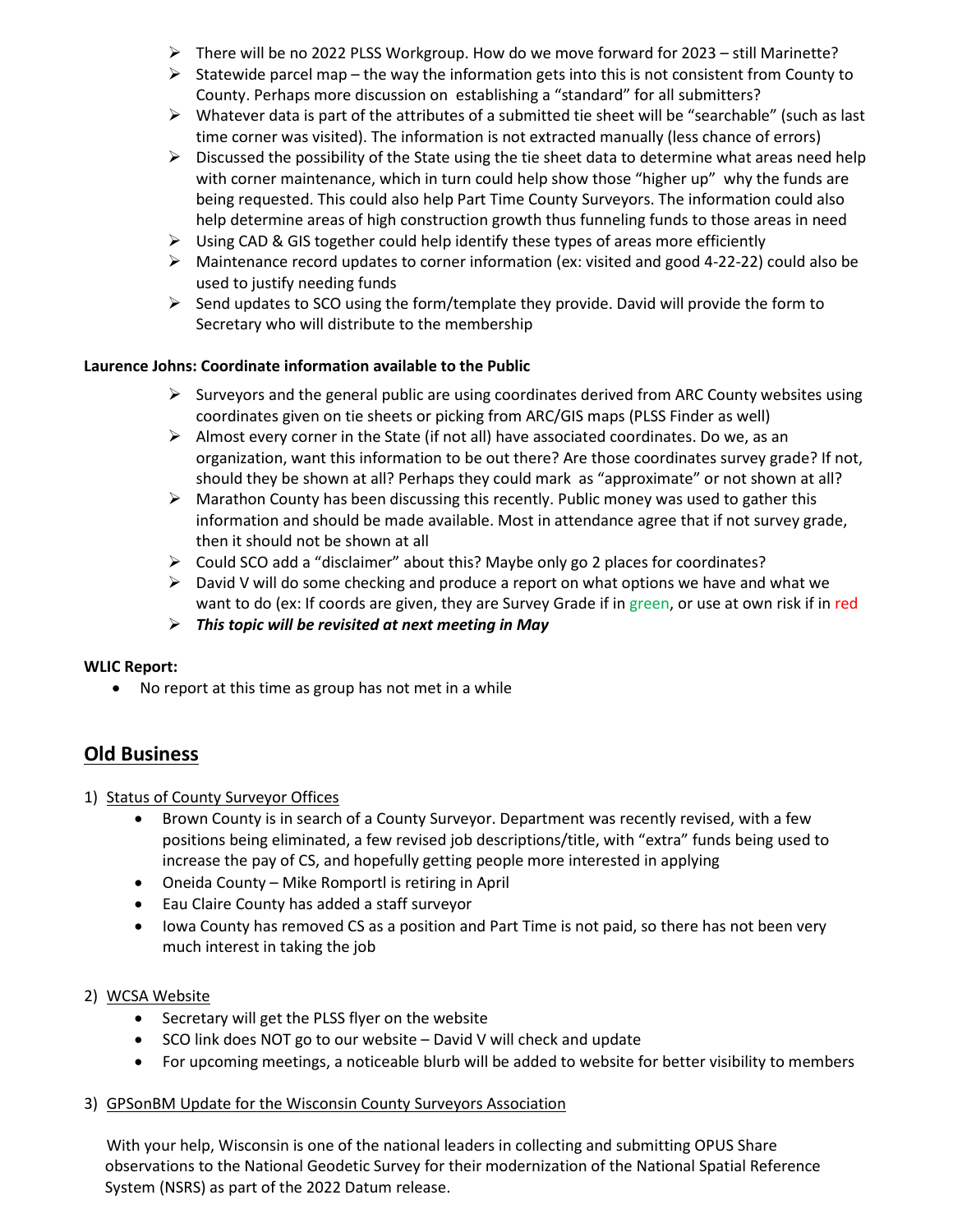- $\triangleright$  There will be no 2022 PLSS Workgroup. How do we move forward for 2023 still Marinette?
- $\triangleright$  Statewide parcel map the way the information gets into this is not consistent from County to County. Perhaps more discussion on establishing a "standard" for all submitters?
- $\triangleright$  Whatever data is part of the attributes of a submitted tie sheet will be "searchable" (such as last time corner was visited). The information is not extracted manually (less chance of errors)
- $\triangleright$  Discussed the possibility of the State using the tie sheet data to determine what areas need help with corner maintenance, which in turn could help show those "higher up" why the funds are being requested. This could also help Part Time County Surveyors. The information could also help determine areas of high construction growth thus funneling funds to those areas in need
- $\triangleright$  Using CAD & GIS together could help identify these types of areas more efficiently
- Maintenance record updates to corner information (ex: visited and good 4-22-22) could also be used to justify needing funds
- $\triangleright$  Send updates to SCO using the form/template they provide. David will provide the form to Secretary who will distribute to the membership

### **Laurence Johns: Coordinate information available to the Public**

- $\triangleright$  Surveyors and the general public are using coordinates derived from ARC County websites using coordinates given on tie sheets or picking from ARC/GIS maps (PLSS Finder as well)
- $\triangleright$  Almost every corner in the State (if not all) have associated coordinates. Do we, as an organization, want this information to be out there? Are those coordinates survey grade? If not, should they be shown at all? Perhaps they could mark as "approximate" or not shown at all?
- $\triangleright$  Marathon County has been discussing this recently. Public money was used to gather this information and should be made available. Most in attendance agree that if not survey grade, then it should not be shown at all
- Could SCO add a "disclaimer" about this? Maybe only go 2 places for coordinates?
- $\triangleright$  David V will do some checking and produce a report on what options we have and what we want to do (ex: If coords are given, they are Survey Grade if in green, or use at own risk if in red
- *This topic will be revisited at next meeting in May*

#### **WLIC Report:**

• No report at this time as group has not met in a while

# **Old Business**

- 1) Status of County Surveyor Offices
	- Brown County is in search of a County Surveyor. Department was recently revised, with a few positions being eliminated, a few revised job descriptions/title, with "extra" funds being used to increase the pay of CS, and hopefully getting people more interested in applying
	- Oneida County Mike Romportl is retiring in April
	- Eau Claire County has added a staff surveyor
	- Iowa County has removed CS as a position and Part Time is not paid, so there has not been very much interest in taking the job

#### 2) WCSA Website

- Secretary will get the PLSS flyer on the website
- SCO link does NOT go to our website David V will check and update
- For upcoming meetings, a noticeable blurb will be added to website for better visibility to members
- 3) GPSonBM Update for the Wisconsin County Surveyors Association

With your help, Wisconsin is one of the national leaders in collecting and submitting OPUS Share observations to the National Geodetic Survey for their modernization of the National Spatial Reference System (NSRS) as part of the 2022 Datum release.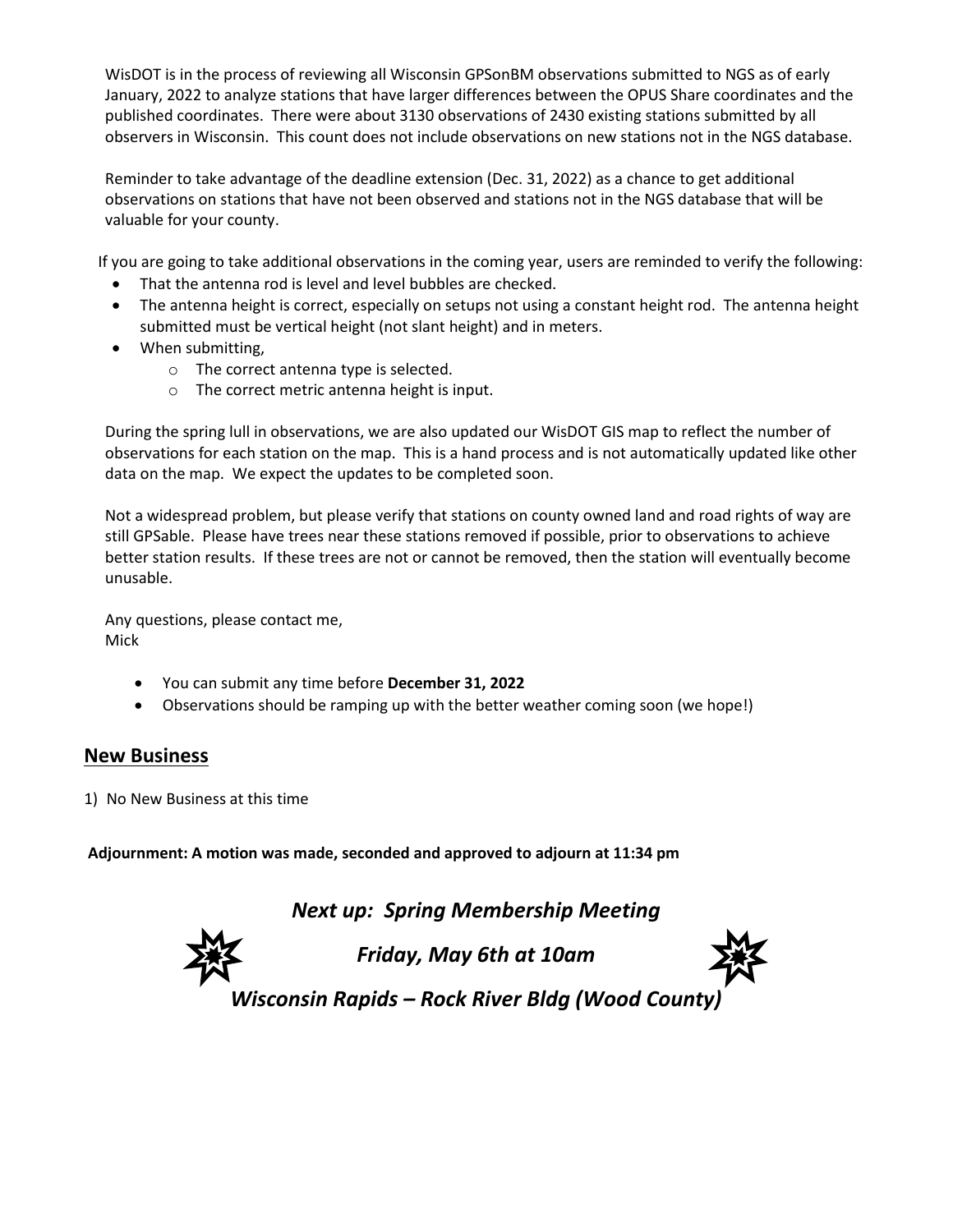WisDOT is in the process of reviewing all Wisconsin GPSonBM observations submitted to NGS as of early January, 2022 to analyze stations that have larger differences between the OPUS Share coordinates and the published coordinates. There were about 3130 observations of 2430 existing stations submitted by all observers in Wisconsin. This count does not include observations on new stations not in the NGS database.

Reminder to take advantage of the deadline extension (Dec. 31, 2022) as a chance to get additional observations on stations that have not been observed and stations not in the NGS database that will be valuable for your county.

If you are going to take additional observations in the coming year, users are reminded to verify the following:

- That the antenna rod is level and level bubbles are checked.
- The antenna height is correct, especially on setups not using a constant height rod. The antenna height submitted must be vertical height (not slant height) and in meters.
- When submitting,
	- o The correct antenna type is selected.
	- o The correct metric antenna height is input.

During the spring lull in observations, we are also updated our WisDOT GIS map to reflect the number of observations for each station on the map. This is a hand process and is not automatically updated like other data on the map. We expect the updates to be completed soon.

Not a widespread problem, but please verify that stations on county owned land and road rights of way are still GPSable. Please have trees near these stations removed if possible, prior to observations to achieve better station results. If these trees are not or cannot be removed, then the station will eventually become unusable.

Any questions, please contact me, Mick

- You can submit any time before **December 31, 2022**
- Observations should be ramping up with the better weather coming soon (we hope!)

# **New Business**

1) No New Business at this time

**Adjournment: A motion was made, seconded and approved to adjourn at 11:34 pm**

*Next up: Spring Membership Meeting*



*Friday, May 6th at 10am*



*Wisconsin Rapids – Rock River Bldg (Wood County)*